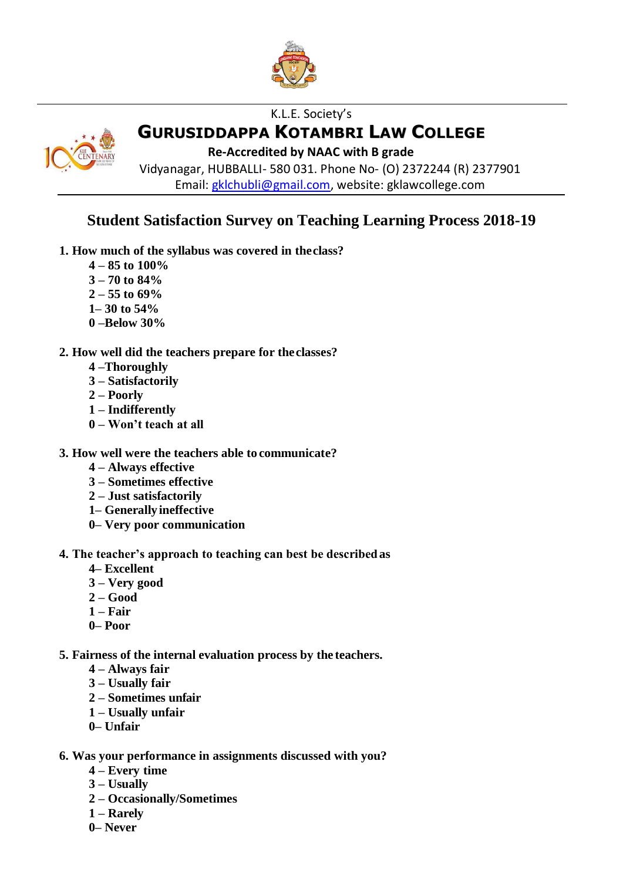

# K.L.E. Society's **GURUSIDDAPPA KOTAMBRI LAW COLLEGE**

**Re-Accredited by NAAC with B grade**

Vidyanagar, HUBBALLI- 580 031. Phone No- (O) 2372244 (R) 2377901 Email: [gklchubli@gmail.com,](mailto:gklchubli@gmail.com) website: gklawcollege.com

# **Student Satisfaction Survey on Teaching Learning Process 2018-19**

- **1. How much of the syllabus was covered in theclass?** 
	- **4 – 85 to 100%**
	- **3 – 70 to 84%**
	- **2 – 55 to 69%**
	- **1– 30 to 54%**
	- **0 –Below 30%**

### **2. How well did the teachers prepare for theclasses?**

- **4 –Thoroughly**
- **3 – Satisfactorily**
- **2 – Poorly**
- **1 – Indifferently**
- **0 – Won't teach at all**

### **3. How well were the teachers able to communicate?**

- **4 – Always effective**
- **3 – Sometimes effective**
- **2 – Just satisfactorily**
- **1– Generallyineffective**
- **0– Very poor communication**

#### **4. The teacher's approach to teaching can best be describedas**

- **4– Excellent**
- **3 – Very good**
- **2 – Good**
- **1 – Fair**
- **0– Poor**
- **5. Fairness of the internal evaluation process by the teachers.** 
	- **4 – Always fair**
	- **3 – Usually fair**
	- **2 – Sometimes unfair**
	- **1 – Usually unfair**
	- **0– Unfair**
- **6. Was your performance in assignments discussed with you?** 
	- **4 – Every time**
	- **3 – Usually**
	- **2 – Occasionally/Sometimes**
	- **1 – Rarely**
	- **0– Never**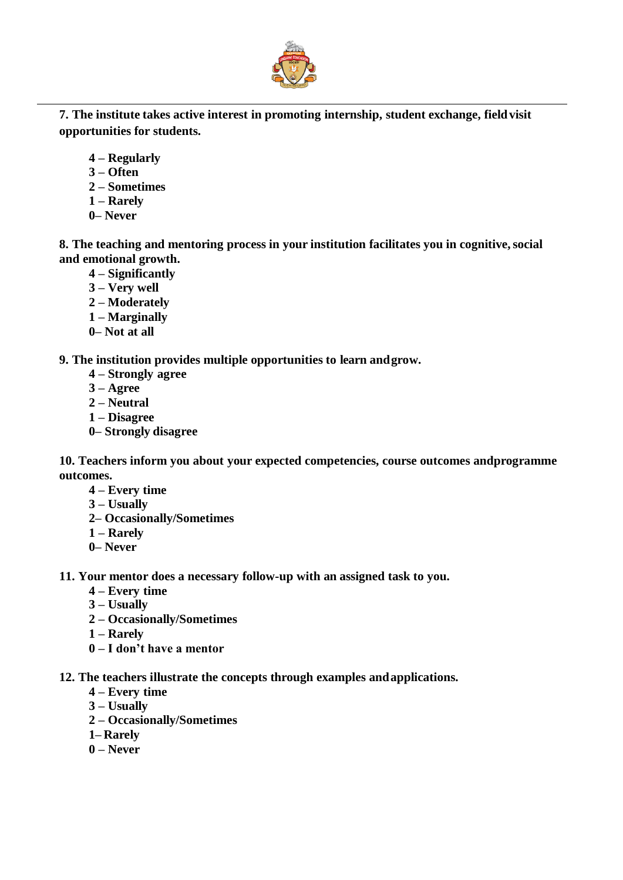

**7. The institute takes active interest in promoting internship, student exchange, fieldvisit opportunities for students.**

- **4 – Regularly**
- **3 – Often**
- **2 – Sometimes**
- **1 – Rarely**
- **0– Never**

**8. The teaching and mentoring process in your institution facilitates you in cognitive,social and emotional growth.**

- **4 – Significantly**
- **3 – Very well**
- **2 – Moderately**
- **1 – Marginally**
- **0– Not at all**

**9. The institution provides multiple opportunities to learn andgrow.** 

- **4 – Strongly agree**
- **3 – Agree**
- **2 – Neutral**
- **1 – Disagree**
- **0– Strongly disagree**

**10. Teachers inform you about your expected competencies, course outcomes andprogramme outcomes.**

- **4 – Every time**
- **3 – Usually**
- **2– Occasionally/Sometimes**
- **1 – Rarely**
- **0– Never**

**11. Your mentor does a necessary follow-up with an assigned task to you.** 

- **4 – Every time**
- **3 – Usually**
- **2 – Occasionally/Sometimes**
- **1 – Rarely**
- **0 – I don't have a mentor**
- **12. The teachers illustrate the concepts through examples andapplications.** 
	- **4 – Every time**
	- **3 – Usually**
	- **2 – Occasionally/Sometimes**
	- **1– Rarely**
	- **0 – Never**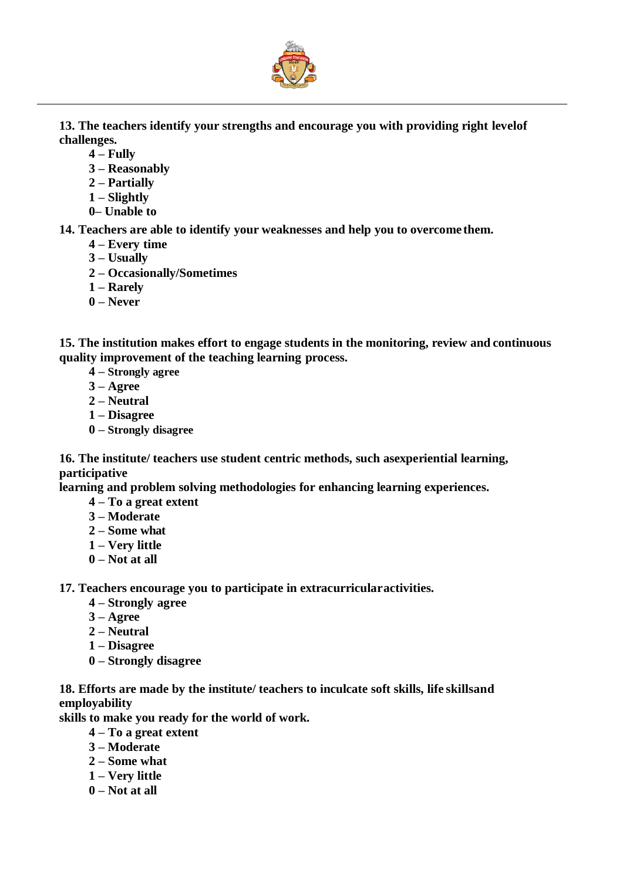

**13. The teachers identify your strengths and encourage you with providing right levelof challenges.**

- **4 – Fully**
- **3 – Reasonably**
- **2 – Partially**
- **1 – Slightly**
- **0– Unable to**

**14. Teachers are able to identify your weaknesses and help you to overcome them.** 

- **4 – Every time**
- **3 – Usually**
- **2 – Occasionally/Sometimes**
- **1 – Rarely**
- **0 – Never**

**15. The institution makes effort to engage students in the monitoring, review and continuous quality improvement of the teaching learning process.**

- **4 – Strongly agree**
- **3 – Agree**
- **2 – Neutral**
- **1 – Disagree**
- **0 – Strongly disagree**

**16. The institute/ teachers use student centric methods, such asexperiential learning, participative**

**learning and problem solving methodologies for enhancing learning experiences.**

- **4 – To a great extent**
- **3 – Moderate**
- **2 – Some what**
- **1 – Very little**
- **0 – Not at all**

**17. Teachers encourage you to participate in extracurricularactivities.** 

- **4 – Strongly agree**
- **3 – Agree**
- **2 – Neutral**
- **1 – Disagree**
- **0 – Strongly disagree**

**18. Efforts are made by the institute/ teachers to inculcate soft skills, life skillsand employability**

**skills to make you ready for the world of work.**

- **4 – To a great extent**
- **3 – Moderate**
- **2 – Some what**
- **1 – Very little**
- **0 – Not at all**